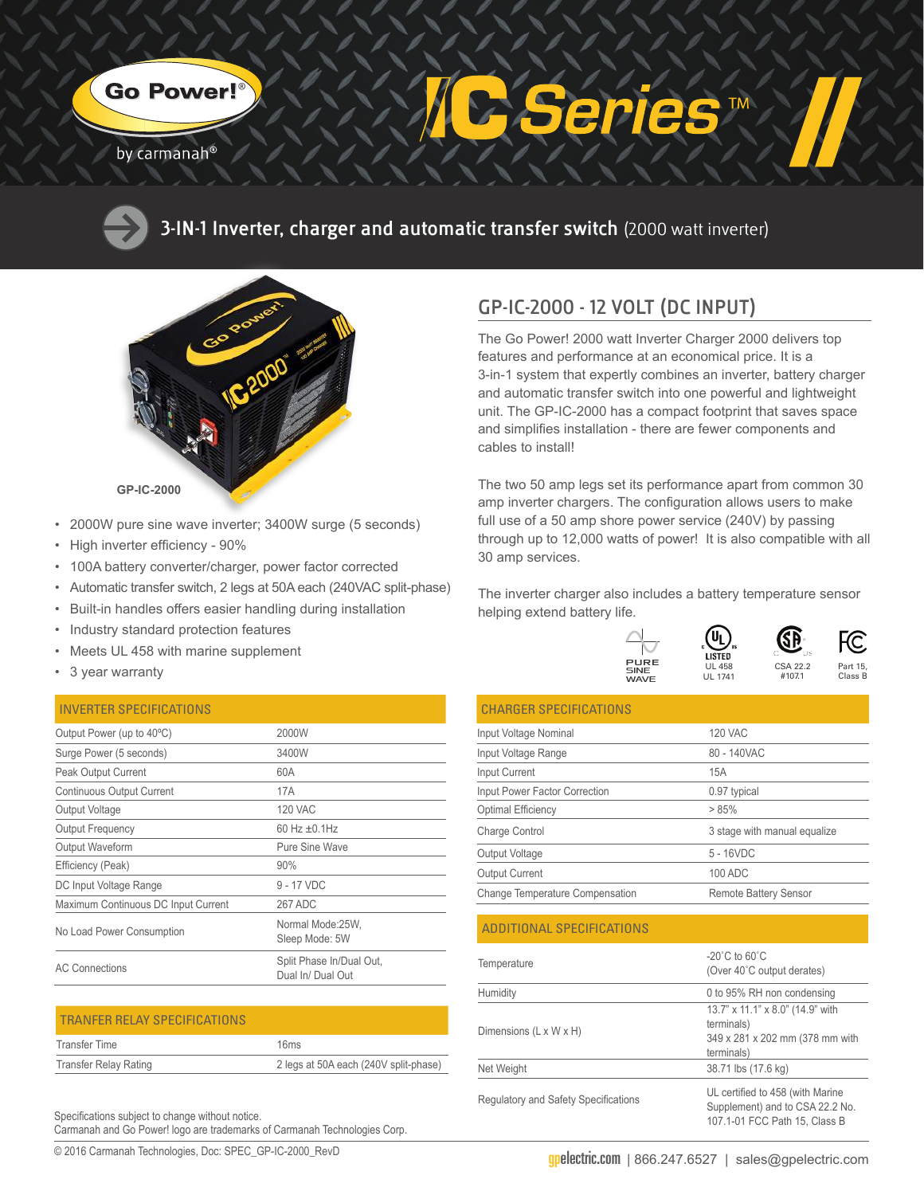

#### by carmanah<sup>®</sup>



**3-IN-1 Inverter, charger and automatic transfer switch** (2000 watt inverter)



- 2000W pure sine wave inverter; 3400W surge (5 seconds)
- High inverter efficiency 90%
- 100A battery converter/charger, power factor corrected
- Automatic transfer switch, 2 legs at 50A each (240VAC split-phase)
- Built-in handles offers easier handling during installation
- Industry standard protection features
- Meets UL 458 with marine supplement
- 3 year warranty

#### INVERTER SPECIFICATIONS

| Output Power (up to 40°C)           | 2000W                                         |
|-------------------------------------|-----------------------------------------------|
| Surge Power (5 seconds)             | 3400W                                         |
| Peak Output Current                 | 60A                                           |
| Continuous Output Current           | 17A                                           |
| Output Voltage                      | <b>120 VAC</b>                                |
| <b>Output Frequency</b>             | 60 Hz $\pm$ 0.1Hz                             |
| Output Waveform                     | Pure Sine Wave                                |
| Efficiency (Peak)                   | 90%                                           |
| DC Input Voltage Range              | 9 - 17 VDC                                    |
| Maximum Continuous DC Input Current | 267 ADC                                       |
| No Load Power Consumption           | Normal Mode:25W,<br>Sleep Mode: 5W            |
| <b>AC Connections</b>               | Split Phase In/Dual Out,<br>Dual In/ Dual Out |
|                                     |                                               |

| <b>TRANFER RELAY SPECIFICATIONS</b> |                                       |
|-------------------------------------|---------------------------------------|
| Transfer Time                       | 16ms                                  |
| <b>Transfer Relay Rating</b>        | 2 legs at 50A each (240V split-phase) |

Specifications subject to change without notice. Carmanah and Go Power! logo are trademarks of Carmanah Technologies Corp.

© 2016 Carmanah Technologies, Doc: SPEC\_GP-IC-2000\_RevD

## **GP-IC-2000 - 12 VOLT (DC INPUT)**

The Go Power! 2000 watt Inverter Charger 2000 delivers top features and performance at an economical price. It is a 3-in-1 system that expertly combines an inverter, battery charger and automatic transfer switch into one powerful and lightweight unit. The GP-IC-2000 has a compact footprint that saves space and simplifies installation - there are fewer components and cables to install!

**TM** 

The two 50 amp legs set its performance apart from common 30 amp inverter chargers. The configuration allows users to make full use of a 50 amp shore power service (240V) by passing through up to 12,000 watts of power! It is also compatible with all 30 amp services.

The inverter charger also includes a battery temperature sensor helping extend battery life.

> UL 458 UL 1741

**LISTED** 

Սլ

| PURE        |  |  |
|-------------|--|--|
| SINE        |  |  |
| <b>WAVE</b> |  |  |



#107.1

SR

| <b>CHARGER SPECIFICATIONS</b>          |                                                                  |
|----------------------------------------|------------------------------------------------------------------|
| Input Voltage Nominal                  | <b>120 VAC</b>                                                   |
| Input Voltage Range                    | 80 - 140VAC                                                      |
| <b>Input Current</b>                   | 15A                                                              |
| <b>Input Power Factor Correction</b>   | 0.97 typical                                                     |
| Optimal Efficiency                     | >85%                                                             |
| Charge Control                         | 3 stage with manual equalize                                     |
| Output Voltage                         | $5 - 16VDC$                                                      |
| Output Current                         | 100 ADC                                                          |
| <b>Change Temperature Compensation</b> | <b>Remote Battery Sensor</b>                                     |
| ADDITIONAL SPECIFICATIONS              |                                                                  |
| Temperature                            | $-20^{\circ}$ C to 60 $^{\circ}$ C<br>(Over 40°C output derates) |
| Humidity                               | 0 to 95% RH non condensing                                       |
|                                        | 13 7" x 11 1" x 8 0" (14 9" with                                 |

| Dimensions (L x W x H)                      | 13.7" x 11.1" x 8.0" (14.9" with<br>terminals)<br>349 x 281 x 202 mm (378 mm with<br>terminals)      |
|---------------------------------------------|------------------------------------------------------------------------------------------------------|
| Net Weight                                  | 38.71 lbs (17.6 kg)                                                                                  |
| <b>Regulatory and Safety Specifications</b> | UL certified to 458 (with Marine<br>Supplement) and to CSA 22.2 No.<br>107.1-01 FCC Path 15, Class B |